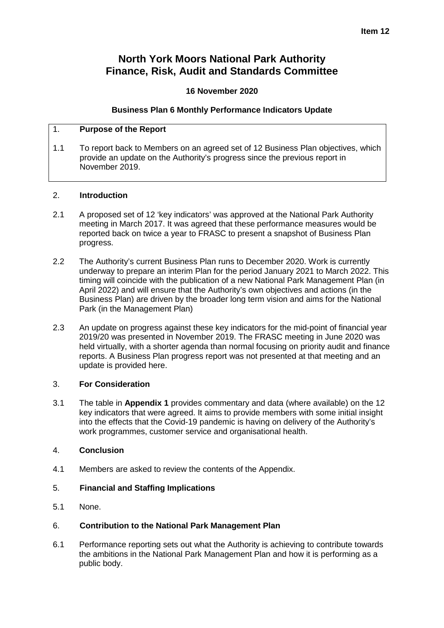# **North York Moors National Park Authority Finance, Risk, Audit and Standards Committee**

### **16 November 2020**

#### **Business Plan 6 Monthly Performance Indicators Update**

## 1. **Purpose of the Report**

1.1 To report back to Members on an agreed set of 12 Business Plan objectives, which provide an update on the Authority's progress since the previous report in November 2019.

#### 2. **Introduction**

- 2.1 A proposed set of 12 'key indicators' was approved at the National Park Authority meeting in March 2017. It was agreed that these performance measures would be reported back on twice a year to FRASC to present a snapshot of Business Plan progress.
- 2.2 The Authority's current Business Plan runs to December 2020. Work is currently underway to prepare an interim Plan for the period January 2021 to March 2022. This timing will coincide with the publication of a new National Park Management Plan (in April 2022) and will ensure that the Authority's own objectives and actions (in the Business Plan) are driven by the broader long term vision and aims for the National Park (in the Management Plan)
- 2.3 An update on progress against these key indicators for the mid-point of financial year 2019/20 was presented in November 2019. The FRASC meeting in June 2020 was held virtually, with a shorter agenda than normal focusing on priority audit and finance reports. A Business Plan progress report was not presented at that meeting and an update is provided here.

### 3. **For Consideration**

3.1 The table in **Appendix 1** provides commentary and data (where available) on the 12 key indicators that were agreed. It aims to provide members with some initial insight into the effects that the Covid-19 pandemic is having on delivery of the Authority's work programmes, customer service and organisational health.

#### 4. **Conclusion**

4.1 Members are asked to review the contents of the Appendix.

# 5. **Financial and Staffing Implications**

5.1 None.

#### 6. **Contribution to the National Park Management Plan**

6.1 Performance reporting sets out what the Authority is achieving to contribute towards the ambitions in the National Park Management Plan and how it is performing as a public body.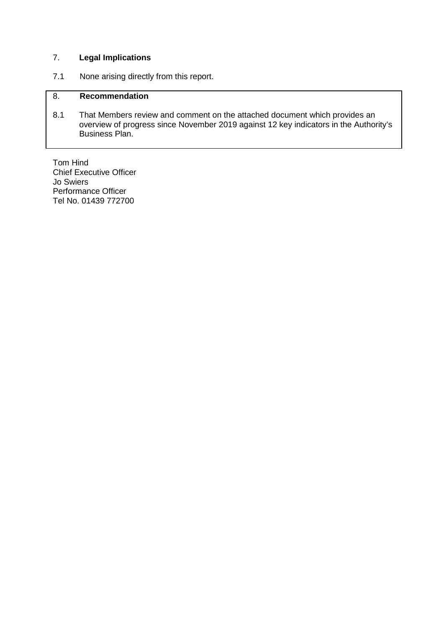# 7. **Legal Implications**

7.1 None arising directly from this report.

# 8. **Recommendation**

8.1 That Members review and comment on the attached document which provides an overview of progress since November 2019 against 12 key indicators in the Authority's Business Plan.

Tom Hind Chief Executive Officer Jo Swiers Performance Officer Tel No. 01439 772700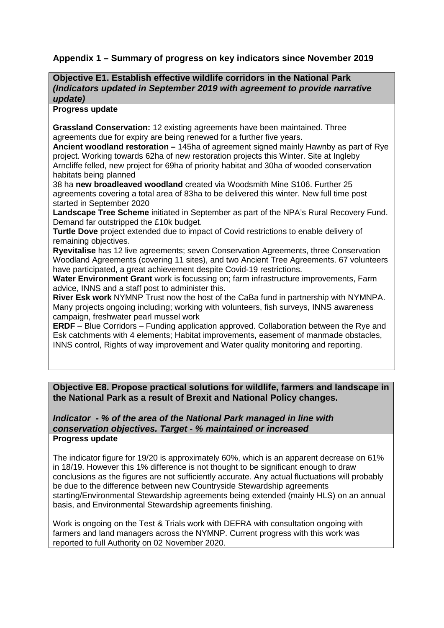# **Appendix 1 – Summary of progress on key indicators since November 2019**

### **Objective E1. Establish effective wildlife corridors in the National Park** *(Indicators updated in September 2019 with agreement to provide narrative update)*

#### **Progress update**

**Grassland Conservation:** 12 existing agreements have been maintained. Three agreements due for expiry are being renewed for a further five years.

**Ancient woodland restoration –** 145ha of agreement signed mainly Hawnby as part of Rye project. Working towards 62ha of new restoration projects this Winter. Site at Ingleby Arncliffe felled, new project for 69ha of priority habitat and 30ha of wooded conservation habitats being planned

38 ha **new broadleaved woodland** created via Woodsmith Mine S106. Further 25 agreements covering a total area of 83ha to be delivered this winter. New full time post started in September 2020

**Landscape Tree Scheme** initiated in September as part of the NPA's Rural Recovery Fund. Demand far outstripped the £10k budget.

**Turtle Dove** project extended due to impact of Covid restrictions to enable delivery of remaining objectives.

**Ryevitalise** has 12 live agreements; seven Conservation Agreements, three Conservation Woodland Agreements (covering 11 sites), and two Ancient Tree Agreements. 67 volunteers have participated, a great achievement despite Covid-19 restrictions.

**Water Environment Grant** work is focussing on; farm infrastructure improvements, Farm advice, INNS and a staff post to administer this.

**River Esk work** NYMNP Trust now the host of the CaBa fund in partnership with NYMNPA. Many projects ongoing including; working with volunteers, fish surveys, INNS awareness campaign, freshwater pearl mussel work

**ERDF** – Blue Corridors – Funding application approved. Collaboration between the Rye and Esk catchments with 4 elements; Habitat improvements, easement of manmade obstacles, INNS control, Rights of way improvement and Water quality monitoring and reporting.

# **Objective E8. Propose practical solutions for wildlife, farmers and landscape in the National Park as a result of Brexit and National Policy changes.**

*Indicator - % of the area of the National Park managed in line with conservation objectives. Target - % maintained or increased* **Progress update**

The indicator figure for 19/20 is approximately 60%, which is an apparent decrease on 61% in 18/19. However this 1% difference is not thought to be significant enough to draw conclusions as the figures are not sufficiently accurate. Any actual fluctuations will probably be due to the difference between new Countryside Stewardship agreements starting/Environmental Stewardship agreements being extended (mainly HLS) on an annual basis, and Environmental Stewardship agreements finishing.

Work is ongoing on the Test & Trials work with DEFRA with consultation ongoing with farmers and land managers across the NYMNP. Current progress with this work was reported to full Authority on 02 November 2020.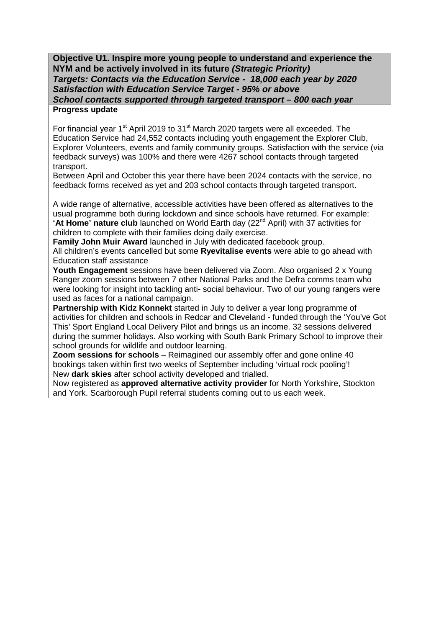**Objective U1. Inspire more young people to understand and experience the NYM and be actively involved in its future** *(Strategic Priority) Targets: Contacts via the Education Service - 18,000 each year by 2020 Satisfaction with Education Service Target - 95% or above School contacts supported through targeted transport – 800 each year*

#### **Progress update**

For financial year 1<sup>st</sup> April 2019 to 31<sup>st</sup> March 2020 targets were all exceeded. The Education Service had 24,552 contacts including youth engagement the Explorer Club, Explorer Volunteers, events and family community groups. Satisfaction with the service (via feedback surveys) was 100% and there were 4267 school contacts through targeted transport.

Between April and October this year there have been 2024 contacts with the service, no feedback forms received as yet and 203 school contacts through targeted transport.

A wide range of alternative, accessible activities have been offered as alternatives to the usual programme both during lockdown and since schools have returned. For example: **'At Home' nature club** launched on World Earth day (22<sup>nd</sup> April) with 37 activities for children to complete with their families doing daily exercise.

**Family John Muir Award** launched in July with dedicated facebook group. All children's events cancelled but some **Ryevitalise events** were able to go ahead with Education staff assistance

**Youth Engagement** sessions have been delivered via Zoom. Also organised 2 x Young Ranger zoom sessions between 7 other National Parks and the Defra comms team who were looking for insight into tackling anti- social behaviour. Two of our young rangers were used as faces for a national campaign.

**Partnership with Kidz Konnekt** started in July to deliver a year long programme of activities for children and schools in Redcar and Cleveland - funded through the 'You've Got This' Sport England Local Delivery Pilot and brings us an income. 32 sessions delivered during the summer holidays. Also working with South Bank Primary School to improve their school grounds for wildlife and outdoor learning.

**Zoom sessions for schools** – Reimagined our assembly offer and gone online 40 bookings taken within first two weeks of September including 'virtual rock pooling'! New **dark skies** after school activity developed and trialled.

Now registered as **approved alternative activity provider** for North Yorkshire, Stockton and York. Scarborough Pupil referral students coming out to us each week.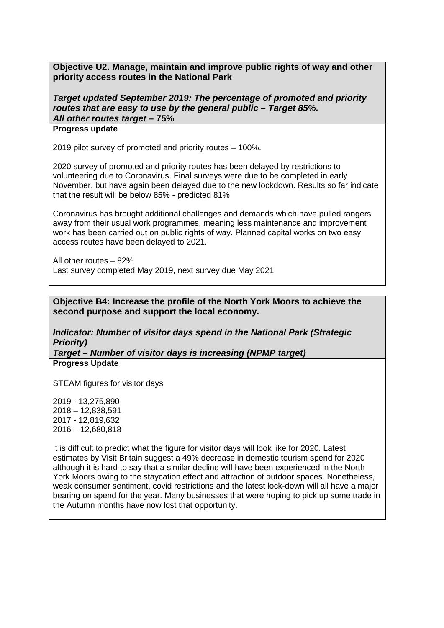**Objective U2. Manage, maintain and improve public rights of way and other priority access routes in the National Park**

*Target updated September 2019: The percentage of promoted and priority routes that are easy to use by the general public – Target 85%. All other routes target –* **75%**

**Progress update**

2019 pilot survey of promoted and priority routes – 100%.

2020 survey of promoted and priority routes has been delayed by restrictions to volunteering due to Coronavirus. Final surveys were due to be completed in early November, but have again been delayed due to the new lockdown. Results so far indicate that the result will be below 85% - predicted 81%

Coronavirus has brought additional challenges and demands which have pulled rangers away from their usual work programmes, meaning less maintenance and improvement work has been carried out on public rights of way. Planned capital works on two easy access routes have been delayed to 2021.

All other routes – 82% Last survey completed May 2019, next survey due May 2021

#### **Objective B4: Increase the profile of the North York Moors to achieve the second purpose and support the local economy.**

*Indicator: Number of visitor days spend in the National Park (Strategic Priority)* 

*Target – Number of visitor days is increasing (NPMP target)* **Progress Update**

STEAM figures for visitor days

2019 - 13,275,890 2018 – 12,838,591 2017 - 12,819,632 2016 – 12,680,818

It is difficult to predict what the figure for visitor days will look like for 2020. Latest estimates by Visit Britain suggest a 49% decrease in domestic tourism spend for 2020 although it is hard to say that a similar decline will have been experienced in the North York Moors owing to the staycation effect and attraction of outdoor spaces. Nonetheless, weak consumer sentiment, covid restrictions and the latest lock-down will all have a major bearing on spend for the year. Many businesses that were hoping to pick up some trade in the Autumn months have now lost that opportunity.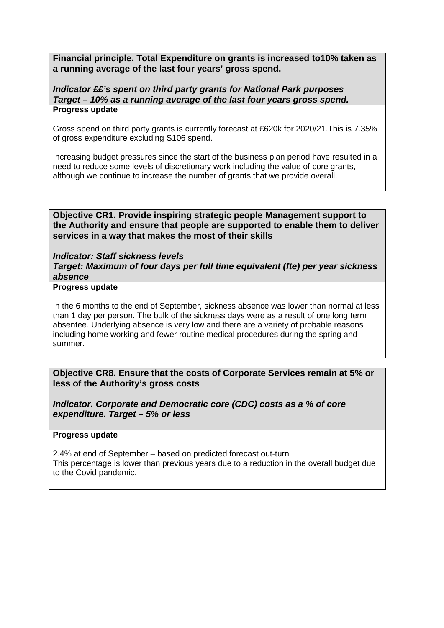**Financial principle. Total Expenditure on grants is increased to10% taken as a running average of the last four years' gross spend.**

#### *Indicator ££'s spent on third party grants for National Park purposes Target – 10% as a running average of the last four years gross spend.* **Progress update**

Gross spend on third party grants is currently forecast at £620k for 2020/21.This is 7.35% of gross expenditure excluding S106 spend.

Increasing budget pressures since the start of the business plan period have resulted in a need to reduce some levels of discretionary work including the value of core grants, although we continue to increase the number of grants that we provide overall.

**Objective CR1. Provide inspiring strategic people Management support to the Authority and ensure that people are supported to enable them to deliver services in a way that makes the most of their skills**

# *Indicator: Staff sickness levels Target: Maximum of four days per full time equivalent (fte) per year sickness absence*

#### **Progress update**

In the 6 months to the end of September, sickness absence was lower than normal at less than 1 day per person. The bulk of the sickness days were as a result of one long term absentee. Underlying absence is very low and there are a variety of probable reasons including home working and fewer routine medical procedures during the spring and summer.

# **Objective CR8. Ensure that the costs of Corporate Services remain at 5% or less of the Authority's gross costs**

*Indicator. Corporate and Democratic core (CDC) costs as a % of core expenditure. Target – 5% or less*

### **Progress update**

2.4% at end of September – based on predicted forecast out-turn This percentage is lower than previous years due to a reduction in the overall budget due to the Covid pandemic.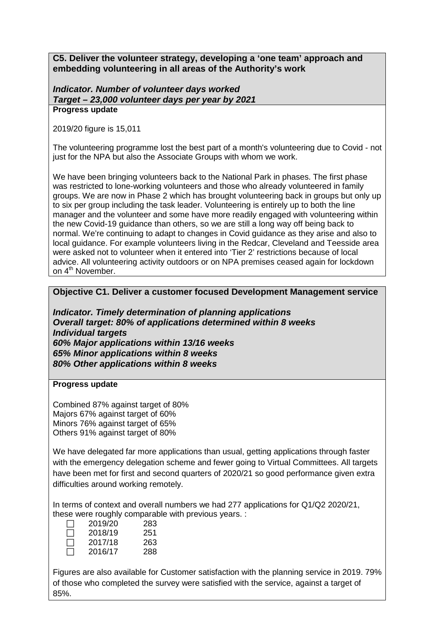**C5. Deliver the volunteer strategy, developing a 'one team' approach and embedding volunteering in all areas of the Authority's work**

*Indicator. Number of volunteer days worked Target – 23,000 volunteer days per year by 2021* **Progress update**

2019/20 figure is 15,011

The volunteering programme lost the best part of a month's volunteering due to Covid - not just for the NPA but also the Associate Groups with whom we work.

We have been bringing volunteers back to the National Park in phases. The first phase was restricted to lone-working volunteers and those who already volunteered in family groups. We are now in Phase 2 which has brought volunteering back in groups but only up to six per group including the task leader. Volunteering is entirely up to both the line manager and the volunteer and some have more readily engaged with volunteering within the new Covid-19 guidance than others, so we are still a long way off being back to normal. We're continuing to adapt to changes in Covid guidance as they arise and also to local guidance. For example volunteers living in the Redcar, Cleveland and Teesside area were asked not to volunteer when it entered into 'Tier 2' restrictions because of local advice. All volunteering activity outdoors or on NPA premises ceased again for lockdown on 4<sup>th</sup> November.

# **Objective C1. Deliver a customer focused Development Management service**

*Indicator. Timely determination of planning applications Overall target: 80% of applications determined within 8 weeks Individual targets 60% Major applications within 13/16 weeks 65% Minor applications within 8 weeks 80% Other applications within 8 weeks*

#### **Progress update**

Combined 87% against target of 80% Majors 67% against target of 60% Minors 76% against target of 65% Others 91% against target of 80%

We have delegated far more applications than usual, getting applications through faster with the emergency delegation scheme and fewer going to Virtual Committees. All targets have been met for first and second quarters of 2020/21 so good performance given extra difficulties around working remotely.

In terms of context and overall numbers we had 277 applications for Q1/Q2 2020/21, these were roughly comparable with previous years. :

| $\perp$        | 2019/20 | 283 |
|----------------|---------|-----|
| $\mathbb{R}^n$ | 2018/19 | 251 |
| $\perp$        | 2017/18 | 263 |
| $\mathbb{R}^n$ | 2016/17 | 288 |

Figures are also available for Customer satisfaction with the planning service in 2019. 79% of those who completed the survey were satisfied with the service, against a target of 85%.